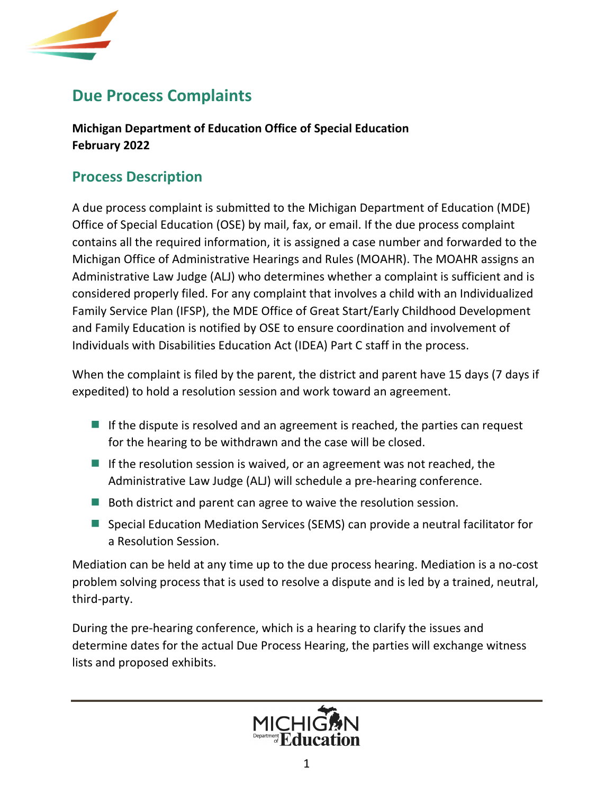

# **Due Process Complaints**

**Michigan Department of Education Office of Special Education February 2022**

### **Process Description**

A due process complaint is submitted to the Michigan Department of Education (MDE) Office of Special Education (OSE) by mail, fax, or email. If the due process complaint contains all the required information, it is assigned a case number and forwarded to the Michigan Office of Administrative Hearings and Rules (MOAHR). The MOAHR assigns an Administrative Law Judge (ALJ) who determines whether a complaint is sufficient and is considered properly filed. For any complaint that involves a child with an Individualized Family Service Plan (IFSP), the MDE Office of Great Start/Early Childhood Development and Family Education is notified by OSE to ensure coordination and involvement of Individuals with Disabilities Education Act (IDEA) Part C staff in the process.

When the complaint is filed by the parent, the district and parent have 15 days (7 days if expedited) to hold a resolution session and work toward an agreement.

- If the dispute is resolved and an agreement is reached, the parties can request for the hearing to be withdrawn and the case will be closed.
- If the resolution session is waived, or an agreement was not reached, the Administrative Law Judge (ALJ) will schedule a pre-hearing conference.
- Both district and parent can agree to waive the resolution session.
- Special Education Mediation Services (SEMS) can provide a neutral facilitator for a Resolution Session.

Mediation can be held at any time up to the due process hearing. Mediation is a no-cost problem solving process that is used to resolve a dispute and is led by a trained, neutral, third-party.

During the pre-hearing conference, which is a hearing to clarify the issues and determine dates for the actual Due Process Hearing, the parties will exchange witness lists and proposed exhibits.

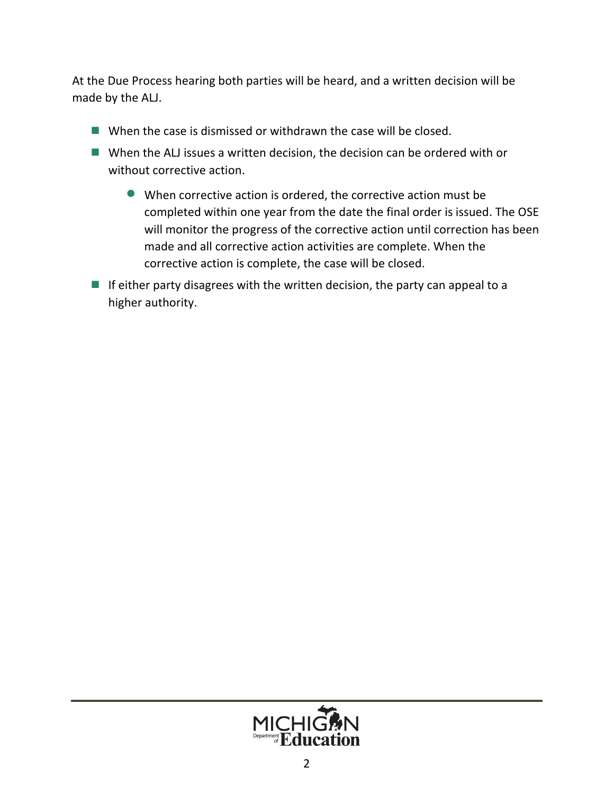At the Due Process hearing both parties will be heard, and a written decision will be made by the ALJ.

- $\blacksquare$  When the case is dismissed or withdrawn the case will be closed.
- When the ALJ issues a written decision, the decision can be ordered with or without corrective action.
	- When corrective action is ordered, the corrective action must be completed within one year from the date the final order is issued. The OSE will monitor the progress of the corrective action until correction has been made and all corrective action activities are complete. When the corrective action is complete, the case will be closed.
- If either party disagrees with the written decision, the party can appeal to a higher authority.

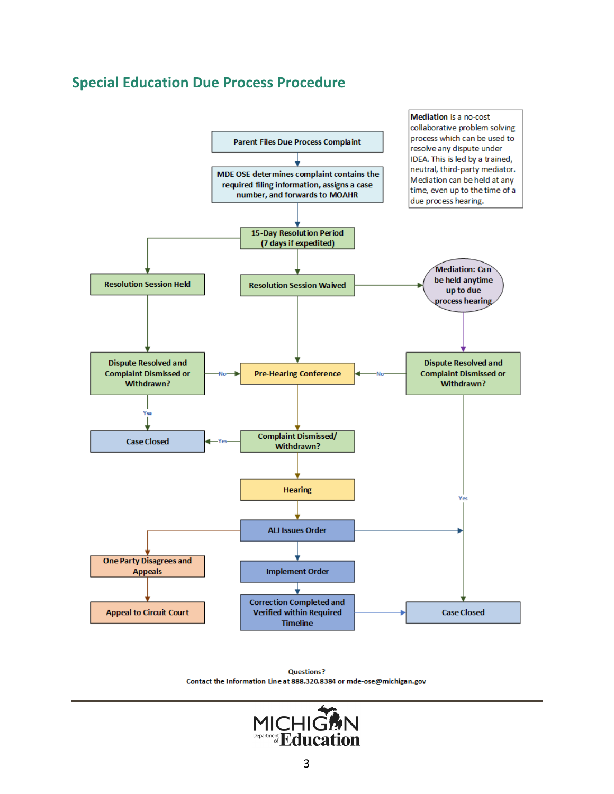#### **Special Education Due Process Procedure**



**Questions?** Contact the Information Line at 888.320.8384 or mde-ose@michigan.gov

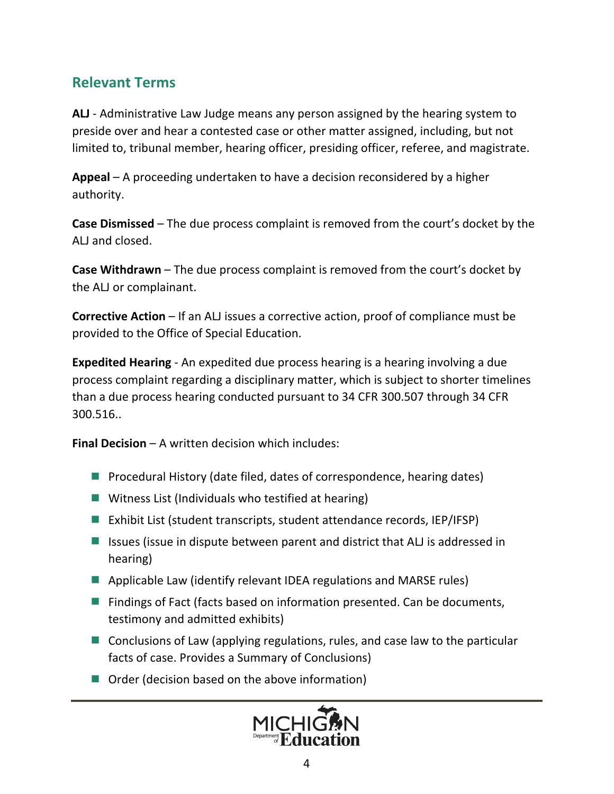### **Relevant Terms**

**ALJ** - Administrative Law Judge means any person assigned by the hearing system to preside over and hear a contested case or other matter assigned, including, but not limited to, tribunal member, hearing officer, presiding officer, referee, and magistrate.

**Appeal** – A proceeding undertaken to have a decision reconsidered by a higher authority.

**Case Dismissed** – The due process complaint is removed from the court's docket by the ALJ and closed.

**Case Withdrawn** – The due process complaint is removed from the court's docket by the ALJ or complainant.

**Corrective Action** – If an ALJ issues a corrective action, proof of compliance must be provided to the Office of Special Education.

**Expedited Hearing** - An expedited due process hearing is a hearing involving a due process complaint regarding a disciplinary matter, which is subject to shorter timelines than a due process hearing conducted pursuant to 34 CFR 300.507 through 34 CFR 300.516..

**Final Decision** – A written decision which includes:

- **P** Procedural History (date filed, dates of correspondence, hearing dates)
- **Witness List (Individuals who testified at hearing)**
- Exhibit List (student transcripts, student attendance records, IEP/IFSP)
- Issues (issue in dispute between parent and district that ALJ is addressed in hearing)
- **Applicable Law (identify relevant IDEA regulations and MARSE rules)**
- Findings of Fact (facts based on information presented. Can be documents, testimony and admitted exhibits)
- Conclusions of Law (applying regulations, rules, and case law to the particular facts of case. Provides a Summary of Conclusions)
- Order (decision based on the above information)